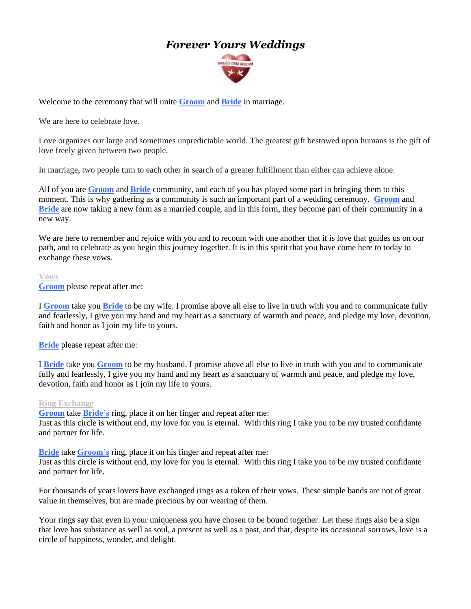# *Forever Yours Weddings*



Welcome to the ceremony that will unite **Groom** and **Bride** in marriage.

We are here to celebrate love.

Love organizes our large and sometimes unpredictable world. The greatest gift bestowed upon humans is the gift of love freely given between two people.

In marriage, two people turn to each other in search of a greater fulfillment than either can achieve alone.

All of you are **Groom** and **Bride** community, and each of you has played some part in bringing them to this moment. This is why gathering as a community is such an important part of a wedding ceremony. **Groom** and **Bride** are now taking a new form as a married couple, and in this form, they become part of their community in a new way.

We are here to remember and rejoice with you and to recount with one another that it is love that guides us on our path, and to celebrate as you begin this journey together. It is in this spirit that you have come here to today to exchange these vows.

#### **Vows**

**Groom** please repeat after me:

I **Groom** take you **Bride** to be my wife. I promise above all else to live in truth with you and to communicate fully and fearlessly, I give you my hand and my heart as a sanctuary of warmth and peace, and pledge my love, devotion, faith and honor as I join my life to yours.

**Bride** please repeat after me:

I **Bride** take you **Groom** to be my husband. I promise above all else to live in truth with you and to communicate fully and fearlessly, I give you my hand and my heart as a sanctuary of warmth and peace, and pledge my love, devotion, faith and honor as I join my life to yours.

### **Ring Exchange**

**Groom** take **Bride's** ring, place it on her finger and repeat after me: Just as this circle is without end, my love for you is eternal. With this ring I take you to be my trusted confidante and partner for life.

**Bride** take **Groom's** ring, place it on his finger and repeat after me: Just as this circle is without end, my love for you is eternal. With this ring I take you to be my trusted confidante and partner for life.

For thousands of years lovers have exchanged rings as a token of their vows. These simple bands are not of great value in themselves, but are made precious by our wearing of them.

Your rings say that even in your uniqueness you have chosen to be bound together. Let these rings also be a sign that love has substance as well as soul, a present as well as a past, and that, despite its occasional sorrows, love is a circle of happiness, wonder, and delight.